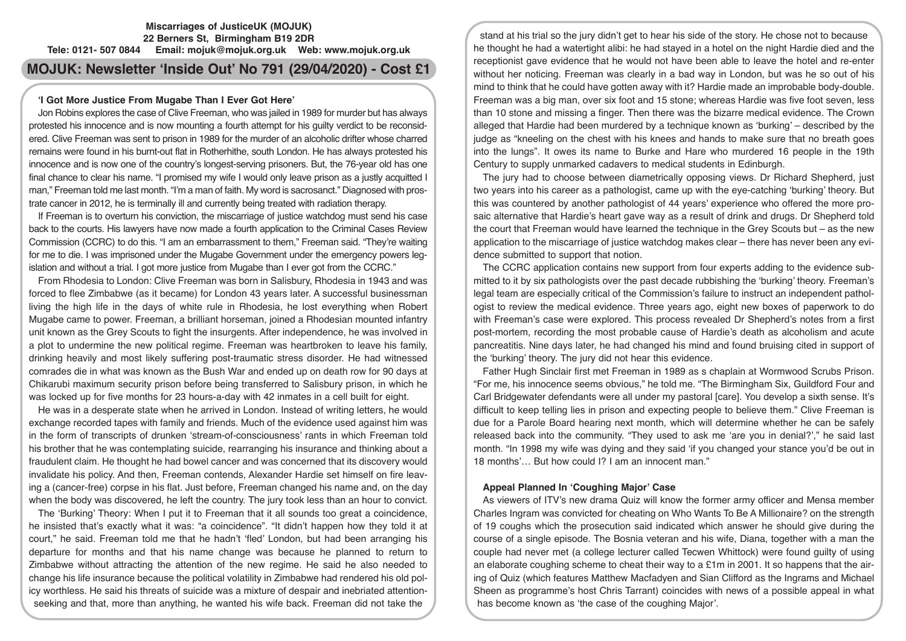### **Miscarriages of JusticeUK (MOJUK) 22 Berners St, Birmingham B19 2DR Tele: 0121- 507 0844 Email: mojuk@mojuk.org.uk Web: www.mojuk.org.uk**

# **MOJUK: Newsletter 'Inside Out' No 791 (29/04/2020) - Cost £1**

## **'I Got More Justice From Mugabe Than I Ever Got Here'**

Jon Robins explores the case of Clive Freeman, who was jailed in 1989 for murder but has always protested his innocence and is now mounting a fourth attempt for his guilty verdict to be reconsidered. Clive Freeman was sent to prison in 1989 for the murder of an alcoholic drifter whose charred remains were found in his burnt-out flat in Rotherhithe, south London. He has always protested his innocence and is now one of the country's longest-serving prisoners. But, the 76-year old has one final chance to clear his name. "I promised my wife I would only leave prison as a justly acquitted I man," Freeman told me last month. "I'm a man of faith. My word is sacrosanct." Diagnosed with prostrate cancer in 2012, he is terminally ill and currently being treated with radiation therapy.

If Freeman is to overturn his conviction, the miscarriage of justice watchdog must send his case back to the courts. His lawyers have now made a fourth application to the Criminal Cases Review Commission (CCRC) to do this. "I am an embarrassment to them," Freeman said. "They're waiting for me to die. I was imprisoned under the Mugabe Government under the emergency powers legislation and without a trial. I got more justice from Mugabe than I ever got from the CCRC."

From Rhodesia to London: Clive Freeman was born in Salisbury, Rhodesia in 1943 and was forced to flee Zimbabwe (as it became) for London 43 years later. A successful businessman living the high life in the days of white rule in Rhodesia, he lost everything when Robert Mugabe came to power. Freeman, a brilliant horseman, joined a Rhodesian mounted infantry unit known as the Grey Scouts to fight the insurgents. After independence, he was involved in a plot to undermine the new political regime. Freeman was heartbroken to leave his family, drinking heavily and most likely suffering post-traumatic stress disorder. He had witnessed comrades die in what was known as the Bush War and ended up on death row for 90 days at Chikarubi maximum security prison before being transferred to Salisbury prison, in which he was locked up for five months for 23 hours-a-day with 42 inmates in a cell built for eight.

He was in a desperate state when he arrived in London. Instead of writing letters, he would exchange recorded tapes with family and friends. Much of the evidence used against him was in the form of transcripts of drunken 'stream-of-consciousness' rants in which Freeman told his brother that he was contemplating suicide, rearranging his insurance and thinking about a fraudulent claim. He thought he had bowel cancer and was concerned that its discovery would invalidate his policy. And then, Freeman contends, Alexander Hardie set himself on fire leaving a (cancer-free) corpse in his flat. Just before, Freeman changed his name and, on the day when the body was discovered, he left the country. The jury took less than an hour to convict.

The 'Burking' Theory: When I put it to Freeman that it all sounds too great a coincidence, he insisted that's exactly what it was: "a coincidence". "It didn't happen how they told it at court," he said. Freeman told me that he hadn't 'fled' London, but had been arranging his departure for months and that his name change was because he planned to return to Zimbabwe without attracting the attention of the new regime. He said he also needed to change his life insurance because the political volatility in Zimbabwe had rendered his old policy worthless. He said his threats of suicide was a mixture of despair and inebriated attentionseeking and that, more than anything, he wanted his wife back. Freeman did not take the

stand at his trial so the jury didn't get to hear his side of the story. He chose not to because he thought he had a watertight alibi: he had stayed in a hotel on the night Hardie died and the receptionist gave evidence that he would not have been able to leave the hotel and re-enter without her noticing. Freeman was clearly in a bad way in London, but was he so out of his mind to think that he could have gotten away with it? Hardie made an improbable body-double. Freeman was a big man, over six foot and 15 stone; whereas Hardie was five foot seven, less than 10 stone and missing a finger. Then there was the bizarre medical evidence. The Crown alleged that Hardie had been murdered by a technique known as 'burking' – described by the judge as "kneeling on the chest with his knees and hands to make sure that no breath goes into the lungs". It owes its name to Burke and Hare who murdered 16 people in the 19th Century to supply unmarked cadavers to medical students in Edinburgh.

The jury had to choose between diametrically opposing views. Dr Richard Shepherd, just two years into his career as a pathologist, came up with the eye-catching 'burking' theory. But this was countered by another pathologist of 44 years' experience who offered the more prosaic alternative that Hardie's heart gave way as a result of drink and drugs. Dr Shepherd told the court that Freeman would have learned the technique in the Grey Scouts but – as the new application to the miscarriage of justice watchdog makes clear – there has never been any evidence submitted to support that notion.

The CCRC application contains new support from four experts adding to the evidence submitted to it by six pathologists over the past decade rubbishing the 'burking' theory. Freeman's legal team are especially critical of the Commission's failure to instruct an independent pathologist to review the medical evidence. Three years ago, eight new boxes of paperwork to do with Freeman's case were explored. This process revealed Dr Shepherd's notes from a first post-mortem, recording the most probable cause of Hardie's death as alcoholism and acute pancreatitis. Nine days later, he had changed his mind and found bruising cited in support of the 'burking' theory. The jury did not hear this evidence.

Father Hugh Sinclair first met Freeman in 1989 as s chaplain at Wormwood Scrubs Prison. "For me, his innocence seems obvious," he told me. "The Birmingham Six, Guildford Four and Carl Bridgewater defendants were all under my pastoral [care]. You develop a sixth sense. It's difficult to keep telling lies in prison and expecting people to believe them." Clive Freeman is due for a Parole Board hearing next month, which will determine whether he can be safely released back into the community. "They used to ask me 'are you in denial?'," he said last month. "In 1998 my wife was dying and they said 'if you changed your stance you'd be out in 18 months'… But how could I? I am an innocent man."

## **Appeal Planned In 'Coughing Major' Case**

As viewers of ITV's new drama Quiz will know the former army officer and Mensa member Charles Ingram was convicted for cheating on Who Wants To Be A Millionaire? on the strength of 19 coughs which the prosecution said indicated which answer he should give during the course of a single episode. The Bosnia veteran and his wife, Diana, together with a man the couple had never met (a college lecturer called Tecwen Whittock) were found guilty of using an elaborate coughing scheme to cheat their way to a £1m in 2001. It so happens that the airing of Quiz (which features Matthew Macfadyen and Sian Clifford as the Ingrams and Michael Sheen as programme's host Chris Tarrant) coincides with news of a possible appeal in what has become known as 'the case of the coughing Major'.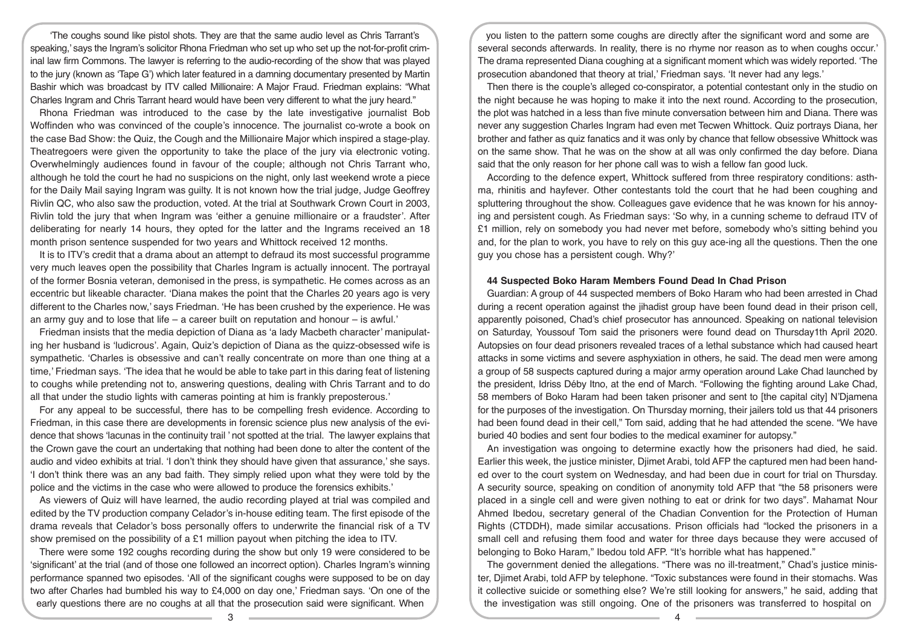'The coughs sound like pistol shots. They are that the same audio level as Chris Tarrant's speaking,' says the Ingram's solicitor Rhona Friedman who set up who set up the not-for-profit criminal law firm Commons. The lawyer is referring to the audio-recording of the show that was played to the jury (known as 'Tape G') which later featured in a damning documentary presented by Martin Bashir which was broadcast by ITV called Millionaire: A Major Fraud. Friedman explains: "What Charles Ingram and Chris Tarrant heard would have been very different to what the jury heard."

Rhona Friedman was introduced to the case by the late investigative journalist Bob Woffinden who was convinced of the couple's innocence. The journalist co-wrote a book on the case Bad Show: the Quiz, the Cough and the Millionaire Major which inspired a stage-play. Theatregoers were given the opportunity to take the place of the jury via electronic voting. Overwhelmingly audiences found in favour of the couple; although not Chris Tarrant who, although he told the court he had no suspicions on the night, only last weekend wrote a piece for the Daily Mail saying Ingram was guilty. It is not known how the trial judge, Judge Geoffrey Rivlin QC, who also saw the production, voted. At the trial at Southwark Crown Court in 2003, Rivlin told the jury that when Ingram was 'either a genuine millionaire or a fraudster'. After deliberating for nearly 14 hours, they opted for the latter and the Ingrams received an 18 month prison sentence suspended for two years and Whittock received 12 months.

It is to ITV's credit that a drama about an attempt to defraud its most successful programme very much leaves open the possibility that Charles Ingram is actually innocent. The portrayal of the former Bosnia veteran, demonised in the press, is sympathetic. He comes across as an eccentric but likeable character. 'Diana makes the point that the Charles 20 years ago is very different to the Charles now,' says Friedman. 'He has been crushed by the experience. He was an army guy and to lose that life – a career built on reputation and honour – is awful.'

Friedman insists that the media depiction of Diana as 'a lady Macbeth character' manipulating her husband is 'ludicrous'. Again, Quiz's depiction of Diana as the quizz-obsessed wife is sympathetic. 'Charles is obsessive and can't really concentrate on more than one thing at a time,' Friedman says. 'The idea that he would be able to take part in this daring feat of listening to coughs while pretending not to, answering questions, dealing with Chris Tarrant and to do all that under the studio lights with cameras pointing at him is frankly preposterous.'

For any appeal to be successful, there has to be compelling fresh evidence. According to Friedman, in this case there are developments in forensic science plus new analysis of the evidence that shows 'lacunas in the continuity trail ' not spotted at the trial. The lawyer explains that the Crown gave the court an undertaking that nothing had been done to alter the content of the audio and video exhibits at trial. 'I don't think they should have given that assurance,' she says. 'I don't think there was an any bad faith. They simply relied upon what they were told by the police and the victims in the case who were allowed to produce the forensics exhibits.'

As viewers of Quiz will have learned, the audio recording played at trial was compiled and edited by the TV production company Celador's in-house editing team. The first episode of the drama reveals that Celador's boss personally offers to underwrite the financial risk of a TV show premised on the possibility of a £1 million payout when pitching the idea to ITV.

There were some 192 coughs recording during the show but only 19 were considered to be 'significant' at the trial (and of those one followed an incorrect option). Charles Ingram's winning performance spanned two episodes. 'All of the significant coughs were supposed to be on day two after Charles had bumbled his way to £4,000 on day one,' Friedman says. 'On one of the early questions there are no coughs at all that the prosecution said were significant. When

you listen to the pattern some coughs are directly after the significant word and some are several seconds afterwards. In reality, there is no rhyme nor reason as to when coughs occur.' The drama represented Diana coughing at a significant moment which was widely reported. 'The prosecution abandoned that theory at trial,' Friedman says. 'It never had any legs.'

Then there is the couple's alleged co-conspirator, a potential contestant only in the studio on the night because he was hoping to make it into the next round. According to the prosecution, the plot was hatched in a less than five minute conversation between him and Diana. There was never any suggestion Charles Ingram had even met Tecwen Whittock. Quiz portrays Diana, her brother and father as quiz fanatics and it was only by chance that fellow obsessive Whittock was on the same show. That he was on the show at all was only confirmed the day before. Diana said that the only reason for her phone call was to wish a fellow fan good luck.

According to the defence expert, Whittock suffered from three respiratory conditions: asthma, rhinitis and hayfever. Other contestants told the court that he had been coughing and spluttering throughout the show. Colleagues gave evidence that he was known for his annoying and persistent cough. As Friedman says: 'So why, in a cunning scheme to defraud ITV of £1 million, rely on somebody you had never met before, somebody who's sitting behind you and, for the plan to work, you have to rely on this guy ace-ing all the questions. Then the one guy you chose has a persistent cough. Why?'

#### **44 Suspected Boko Haram Members Found Dead In Chad Prison**

Guardian: A group of 44 suspected members of Boko Haram who had been arrested in Chad during a recent operation against the jihadist group have been found dead in their prison cell, apparently poisoned, Chad's chief prosecutor has announced. Speaking on national television on Saturday, Youssouf Tom said the prisoners were found dead on Thursday1th April 2020. Autopsies on four dead prisoners revealed traces of a lethal substance which had caused heart attacks in some victims and severe asphyxiation in others, he said. The dead men were among a group of 58 suspects captured during a major army operation around Lake Chad launched by the president, Idriss Déby Itno, at the end of March. "Following the fighting around Lake Chad, 58 members of Boko Haram had been taken prisoner and sent to [the capital city] N'Djamena for the purposes of the investigation. On Thursday morning, their jailers told us that 44 prisoners had been found dead in their cell," Tom said, adding that he had attended the scene. "We have buried 40 bodies and sent four bodies to the medical examiner for autopsy."

An investigation was ongoing to determine exactly how the prisoners had died, he said. Earlier this week, the justice minister, Djimet Arabi, told AFP the captured men had been handed over to the court system on Wednesday, and had been due in court for trial on Thursday. A security source, speaking on condition of anonymity told AFP that "the 58 prisoners were placed in a single cell and were given nothing to eat or drink for two days". Mahamat Nour Ahmed Ibedou, secretary general of the Chadian Convention for the Protection of Human Rights (CTDDH), made similar accusations. Prison officials had "locked the prisoners in a small cell and refusing them food and water for three days because they were accused of belonging to Boko Haram," Ibedou told AFP. "It's horrible what has happened."

The government denied the allegations. "There was no ill-treatment," Chad's justice minister, Djimet Arabi, told AFP by telephone. "Toxic substances were found in their stomachs. Was it collective suicide or something else? We're still looking for answers," he said, adding that the investigation was still ongoing. One of the prisoners was transferred to hospital on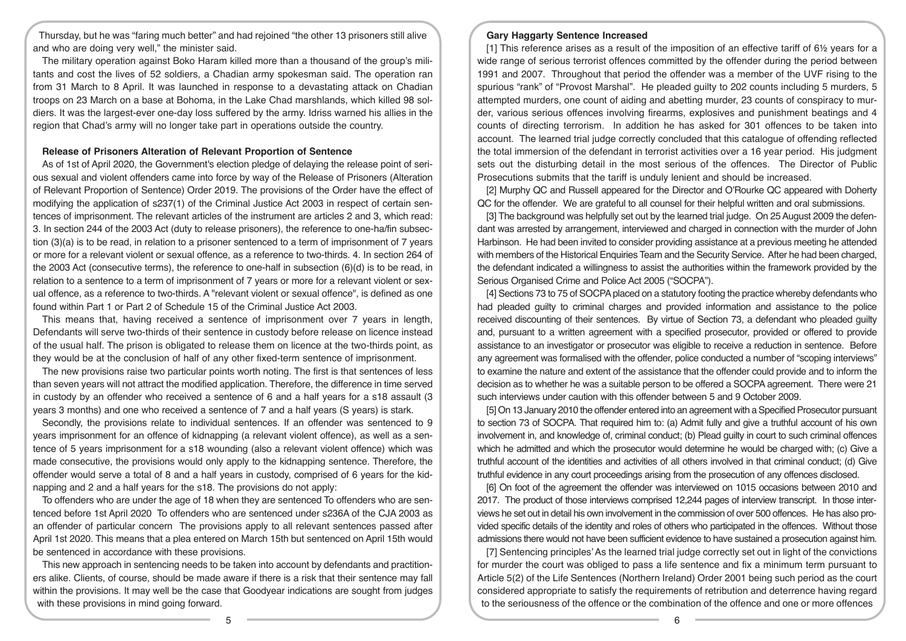Thursday, but he was "faring much better" and had rejoined "the other 13 prisoners still alive and who are doing very well," the minister said.

The military operation against Boko Haram killed more than a thousand of the group's militants and cost the lives of 52 soldiers, a Chadian army spokesman said. The operation ran from 31 March to 8 April. It was launched in response to a devastating attack on Chadian troops on 23 March on a base at Bohoma, in the Lake Chad marshlands, which killed 98 soldiers. It was the largest-ever one-day loss suffered by the army. Idriss warned his allies in the region that Chad's army will no longer take part in operations outside the country.

#### **Release of Prisoners Alteration of Relevant Proportion of Sentence**

As of 1st of April 2020, the Government's election pledge of delaying the release point of serious sexual and violent offenders came into force by way of the Release of Prisoners (Alteration of Relevant Proportion of Sentence) Order 2019. The provisions of the Order have the effect of modifying the application of s237(1) of the Criminal Justice Act 2003 in respect of certain sentences of imprisonment. The relevant articles of the instrument are articles 2 and 3, which read: 3. In section 244 of the 2003 Act (duty to release prisoners), the reference to one-ha/fin subsection (3)(a) is to be read, in relation to a prisoner sentenced to a term of imprisonment of 7 years or more for a relevant violent or sexual offence, as a reference to two-thirds. 4. In section 264 of the 2003 Act (consecutive terms), the reference to one-half in subsection (6)(d) is to be read, in relation to a sentence to a term of imprisonment of 7 years or more for a relevant violent or sexual offence, as a reference to two-thirds. A "relevant violent or sexual offence", is defined as one found within Part 1 or Part 2 of Schedule 15 of the Criminal Justice Act 2003.

This means that, having received a sentence of imprisonment over 7 years in length, Defendants will serve two-thirds of their sentence in custody before release on licence instead of the usual half. The prison is obligated to release them on licence at the two-thirds point, as they would be at the conclusion of half of any other fixed-term sentence of imprisonment.

The new provisions raise two particular points worth noting. The first is that sentences of less than seven years will not attract the modified application. Therefore, the difference in time served in custody by an offender who received a sentence of 6 and a half years for a s18 assault (3 years 3 months) and one who received a sentence of 7 and a half years (S years) is stark.

Secondly, the provisions relate to individual sentences. If an offender was sentenced to 9 years imprisonment for an offence of kidnapping (a relevant violent offence), as well as a sentence of 5 years imprisonment for a s18 wounding (also a relevant violent offence) which was made consecutive, the provisions would only apply to the kidnapping sentence. Therefore, the offender would serve a total of 8 and a half years in custody, comprised of 6 years for the kidnapping and 2 and a half years for the s18. The provisions do not apply:

To offenders who are under the age of 18 when they are sentenced To offenders who are sentenced before 1st April 2020 To offenders who are sentenced under s236A of the CJA 2003 as an offender of particular concern The provisions apply to all relevant sentences passed after April 1st 2020. This means that a plea entered on March 15th but sentenced on April 15th would be sentenced in accordance with these provisions.

This new approach in sentencing needs to be taken into account by defendants and practitioners alike. Clients, of course, should be made aware if there is a risk that their sentence may fall within the provisions. It may well be the case that Goodyear indications are sought from judges with these provisions in mind going forward.

#### **Gary Haggarty Sentence Increased**

[1] This reference arises as a result of the imposition of an effective tariff of 6½ years for a wide range of serious terrorist offences committed by the offender during the period between 1991 and 2007. Throughout that period the offender was a member of the UVF rising to the spurious "rank" of "Provost Marshal". He pleaded guilty to 202 counts including 5 murders, 5 attempted murders, one count of aiding and abetting murder, 23 counts of conspiracy to murder, various serious offences involving firearms, explosives and punishment beatings and 4 counts of directing terrorism. In addition he has asked for 301 offences to be taken into account. The learned trial judge correctly concluded that this catalogue of offending reflected the total immersion of the defendant in terrorist activities over a 16 year period. His judgment sets out the disturbing detail in the most serious of the offences. The Director of Public Prosecutions submits that the tariff is unduly lenient and should be increased.

[2] Murphy QC and Russell appeared for the Director and O'Rourke QC appeared with Doherty QC for the offender. We are grateful to all counsel for their helpful written and oral submissions.

[3] The background was helpfully set out by the learned trial judge. On 25 August 2009 the defendant was arrested by arrangement, interviewed and charged in connection with the murder of John Harbinson. He had been invited to consider providing assistance at a previous meeting he attended with members of the Historical Enquiries Team and the Security Service. After he had been charged, the defendant indicated a willingness to assist the authorities within the framework provided by the Serious Organised Crime and Police Act 2005 ("SOCPA").

[4] Sections 73 to 75 of SOCPA placed on a statutory footing the practice whereby defendants who had pleaded guilty to criminal charges and provided information and assistance to the police received discounting of their sentences. By virtue of Section 73, a defendant who pleaded guilty and, pursuant to a written agreement with a specified prosecutor, provided or offered to provide assistance to an investigator or prosecutor was eligible to receive a reduction in sentence. Before any agreement was formalised with the offender, police conducted a number of "scoping interviews" to examine the nature and extent of the assistance that the offender could provide and to inform the decision as to whether he was a suitable person to be offered a SOCPA agreement. There were 21 such interviews under caution with this offender between 5 and 9 October 2009.

[5] On 13 January 2010 the offender entered into an agreement with a Specified Prosecutor pursuant to section 73 of SOCPA. That required him to: (a) Admit fully and give a truthful account of his own involvement in, and knowledge of, criminal conduct; (b) Plead guilty in court to such criminal offences which he admitted and which the prosecutor would determine he would be charged with; (c) Give a truthful account of the identities and activities of all others involved in that criminal conduct; (d) Give truthful evidence in any court proceedings arising from the prosecution of any offences disclosed.

[6] On foot of the agreement the offender was interviewed on 1015 occasions between 2010 and 2017. The product of those interviews comprised 12,244 pages of interview transcript. In those interviews he set out in detail his own involvement in the commission of over 500 offences. He has also provided specific details of the identity and roles of others who participated in the offences. Without those admissions there would not have been sufficient evidence to have sustained a prosecution against him.

[7] Sentencing principles' As the learned trial judge correctly set out in light of the convictions for murder the court was obliged to pass a life sentence and fix a minimum term pursuant to Article 5(2) of the Life Sentences (Northern Ireland) Order 2001 being such period as the court considered appropriate to satisfy the requirements of retribution and deterrence having regard to the seriousness of the offence or the combination of the offence and one or more offences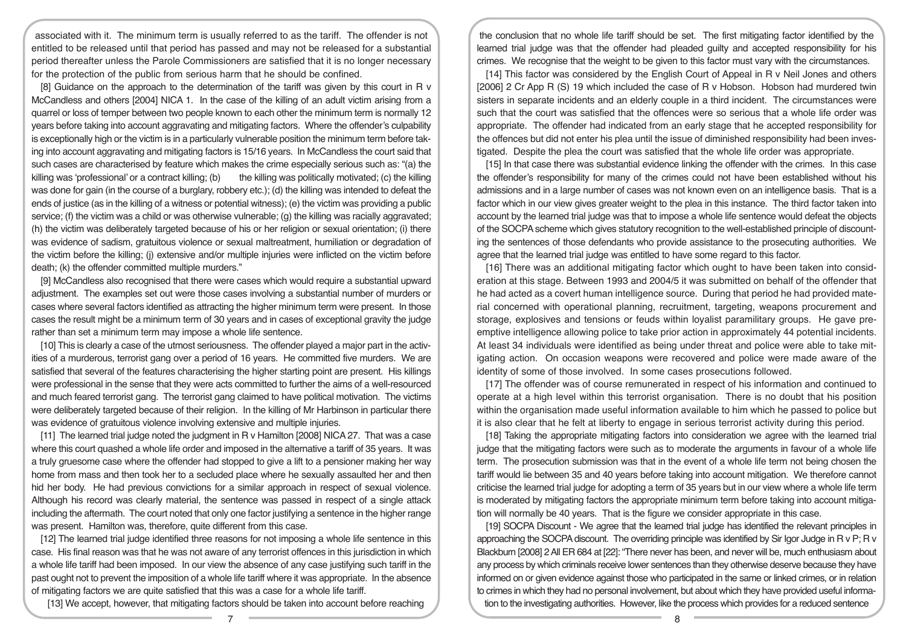associated with it. The minimum term is usually referred to as the tariff. The offender is not entitled to be released until that period has passed and may not be released for a substantial period thereafter unless the Parole Commissioners are satisfied that it is no longer necessary for the protection of the public from serious harm that he should be confined.

[8] Guidance on the approach to the determination of the tariff was given by this court in R v McCandless and others [2004] NICA 1. In the case of the killing of an adult victim arising from a quarrel or loss of temper between two people known to each other the minimum term is normally 12 years before taking into account aggravating and mitigating factors. Where the offender's culpability is exceptionally high or the victim is in a particularly vulnerable position the minimum term before taking into account aggravating and mitigating factors is 15/16 years. In McCandless the court said that such cases are characterised by feature which makes the crime especially serious such as: "(a) the killing was 'professional' or a contract killing; (b) the killing was politically motivated; (c) the killing was done for gain (in the course of a burglary, robbery etc.); (d) the killing was intended to defeat the ends of justice (as in the killing of a witness or potential witness); (e) the victim was providing a public service; (f) the victim was a child or was otherwise vulnerable; (g) the killing was racially aggravated; (h) the victim was deliberately targeted because of his or her religion or sexual orientation; (i) there was evidence of sadism, gratuitous violence or sexual maltreatment, humiliation or degradation of the victim before the killing; (j) extensive and/or multiple injuries were inflicted on the victim before death; (k) the offender committed multiple murders."

[9] McCandless also recognised that there were cases which would require a substantial upward adjustment. The examples set out were those cases involving a substantial number of murders or cases where several factors identified as attracting the higher minimum term were present. In those cases the result might be a minimum term of 30 years and in cases of exceptional gravity the judge rather than set a minimum term may impose a whole life sentence.

[10] This is clearly a case of the utmost seriousness. The offender played a major part in the activities of a murderous, terrorist gang over a period of 16 years. He committed five murders. We are satisfied that several of the features characterising the higher starting point are present. His killings were professional in the sense that they were acts committed to further the aims of a well-resourced and much feared terrorist gang. The terrorist gang claimed to have political motivation. The victims were deliberately targeted because of their religion. In the killing of Mr Harbinson in particular there was evidence of gratuitous violence involving extensive and multiple injuries.

[11] The learned trial judge noted the judgment in R v Hamilton [2008] NICA 27. That was a case where this court quashed a whole life order and imposed in the alternative a tariff of 35 years. It was a truly gruesome case where the offender had stopped to give a lift to a pensioner making her way home from mass and then took her to a secluded place where he sexually assaulted her and then hid her body. He had previous convictions for a similar approach in respect of sexual violence. Although his record was clearly material, the sentence was passed in respect of a single attack including the aftermath. The court noted that only one factor justifying a sentence in the higher range was present. Hamilton was, therefore, quite different from this case.

[12] The learned trial judge identified three reasons for not imposing a whole life sentence in this case. His final reason was that he was not aware of any terrorist offences in this jurisdiction in which a whole life tariff had been imposed. In our view the absence of any case justifying such tariff in the past ought not to prevent the imposition of a whole life tariff where it was appropriate. In the absence of mitigating factors we are quite satisfied that this was a case for a whole life tariff.

[13] We accept, however, that mitigating factors should be taken into account before reaching

the conclusion that no whole life tariff should be set. The first mitigating factor identified by the learned trial judge was that the offender had pleaded guilty and accepted responsibility for his crimes. We recognise that the weight to be given to this factor must vary with the circumstances.

[14] This factor was considered by the English Court of Appeal in R v Neil Jones and others [2006] 2 Cr App R (S) 19 which included the case of R v Hobson. Hobson had murdered twin sisters in separate incidents and an elderly couple in a third incident. The circumstances were such that the court was satisfied that the offences were so serious that a whole life order was appropriate. The offender had indicated from an early stage that he accepted responsibility for the offences but did not enter his plea until the issue of diminished responsibility had been investigated. Despite the plea the court was satisfied that the whole life order was appropriate.

[15] In that case there was substantial evidence linking the offender with the crimes. In this case the offender's responsibility for many of the crimes could not have been established without his admissions and in a large number of cases was not known even on an intelligence basis. That is a factor which in our view gives greater weight to the plea in this instance. The third factor taken into account by the learned trial judge was that to impose a whole life sentence would defeat the objects of the SOCPA scheme which gives statutory recognition to the well-established principle of discounting the sentences of those defendants who provide assistance to the prosecuting authorities. We agree that the learned trial judge was entitled to have some regard to this factor.

[16] There was an additional mitigating factor which ought to have been taken into consideration at this stage. Between 1993 and 2004/5 it was submitted on behalf of the offender that he had acted as a covert human intelligence source. During that period he had provided material concerned with operational planning, recruitment, targeting, weapons procurement and storage, explosives and tensions or feuds within loyalist paramilitary groups. He gave preemptive intelligence allowing police to take prior action in approximately 44 potential incidents. At least 34 individuals were identified as being under threat and police were able to take mitigating action. On occasion weapons were recovered and police were made aware of the identity of some of those involved. In some cases prosecutions followed.

[17] The offender was of course remunerated in respect of his information and continued to operate at a high level within this terrorist organisation. There is no doubt that his position within the organisation made useful information available to him which he passed to police but it is also clear that he felt at liberty to engage in serious terrorist activity during this period.

[18] Taking the appropriate mitigating factors into consideration we agree with the learned trial judge that the mitigating factors were such as to moderate the arguments in favour of a whole life term. The prosecution submission was that in the event of a whole life term not being chosen the tariff would lie between 35 and 40 years before taking into account mitigation. We therefore cannot criticise the learned trial judge for adopting a term of 35 years but in our view where a whole life term is moderated by mitigating factors the appropriate minimum term before taking into account mitigation will normally be 40 years. That is the figure we consider appropriate in this case.

[19] SOCPA Discount - We agree that the learned trial judge has identified the relevant principles in approaching the SOCPA discount. The overriding principle was identified by Sir Igor Judge in R v P; R v Blackburn [2008] 2 All ER 684 at [22]: "There never has been, and never will be, much enthusiasm about any process by which criminals receive lower sentences than they otherwise deserve because they have informed on or given evidence against those who participated in the same or linked crimes, or in relation to crimes in which they had no personal involvement, but about which they have provided useful information to the investigating authorities. However, like the process which provides for a reduced sentence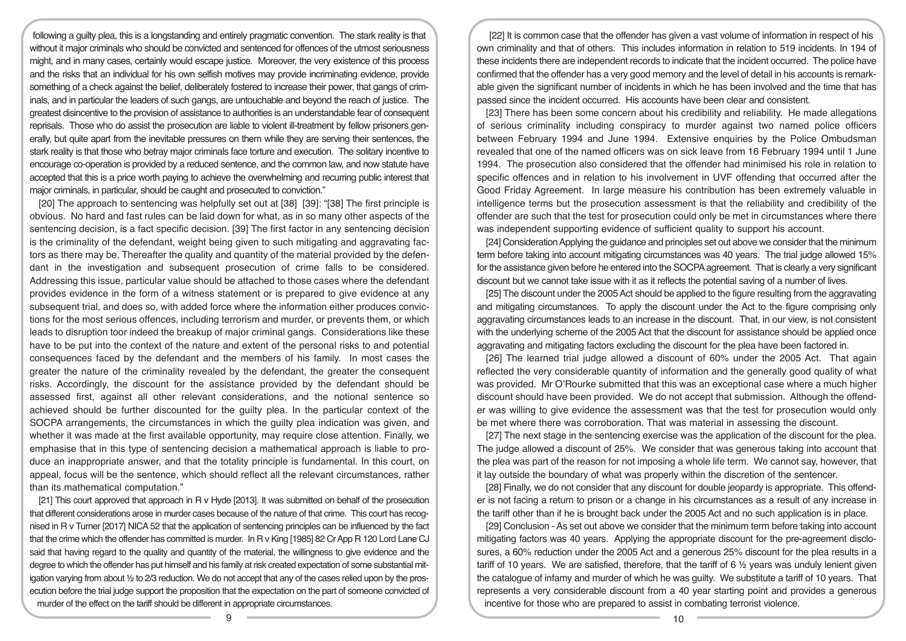following a guilty plea, this is a longstanding and entirely pragmatic convention. The stark reality is that without it major criminals who should be convicted and sentenced for offences of the utmost seriousness might, and in many cases, certainly would escape justice. Moreover, the very existence of this process and the risks that an individual for his own selfish motives may provide incriminating evidence, provide something of a check against the belief, deliberately fostered to increase their power, that gangs of criminals, and in particular the leaders of such gangs, are untouchable and beyond the reach of justice. The greatest disincentive to the provision of assistance to authorities is an understandable fear of consequent reprisals. Those who do assist the prosecution are liable to violent ill-treatment by fellow prisoners generally, but quite apart from the inevitable pressures on them while they are serving their sentences, the stark reality is that those who betray major criminals face torture and execution. The solitary incentive to encourage co-operation is provided by a reduced sentence, and the common law, and now statute have accepted that this is a price worth paying to achieve the overwhelming and recurring public interest that major criminals, in particular, should be caught and prosecuted to conviction."

[20] The approach to sentencing was helpfully set out at [38] [39]: "[38] The first principle is obvious. No hard and fast rules can be laid down for what, as in so many other aspects of the sentencing decision, is a fact specific decision. [39] The first factor in any sentencing decision is the criminality of the defendant, weight being given to such mitigating and aggravating factors as there may be. Thereafter the quality and quantity of the material provided by the defendant in the investigation and subsequent prosecution of crime falls to be considered. Addressing this issue, particular value should be attached to those cases where the defendant provides evidence in the form of a witness statement or is prepared to give evidence at any subsequent trial, and does so, with added force where the information either produces convictions for the most serious offences, including terrorism and murder, or prevents them, or which leads to disruption toor indeed the breakup of major criminal gangs. Considerations like these have to be put into the context of the nature and extent of the personal risks to and potential consequences faced by the defendant and the members of his family. In most cases the greater the nature of the criminality revealed by the defendant, the greater the consequent risks. Accordingly, the discount for the assistance provided by the defendant should be assessed first, against all other relevant considerations, and the notional sentence so achieved should be further discounted for the guilty plea. In the particular context of the SOCPA arrangements, the circumstances in which the guilty plea indication was given, and whether it was made at the first available opportunity, may require close attention. Finally, we emphasise that in this type of sentencing decision a mathematical approach is liable to produce an inappropriate answer, and that the totality principle is fundamental. In this court, on appeal, focus will be the sentence, which should reflect all the relevant circumstances, rather than its mathematical computation."

[21] This court approved that approach in R v Hyde [2013]. It was submitted on behalf of the prosecution that different considerations arose in murder cases because of the nature of that crime. This court has recognised in R v Turner [2017] NICA 52 that the application of sentencing principles can be influenced by the fact that the crime which the offender has committed is murder. In R v King [1985] 82 Cr App R 120 Lord Lane CJ said that having regard to the quality and quantity of the material, the willingness to give evidence and the degree to which the offender has put himself and his family at risk created expectation of some substantial mitigation varying from about ½ to 2/3 reduction. We do not accept that any of the cases relied upon by the prosecution before the trial judge support the proposition that the expectation on the part of someone convicted of murder of the effect on the tariff should be different in appropriate circumstances.

[22] It is common case that the offender has given a vast volume of information in respect of his own criminality and that of others. This includes information in relation to 519 incidents. In 194 of these incidents there are independent records to indicate that the incident occurred. The police have confirmed that the offender has a very good memory and the level of detail in his accounts is remarkable given the significant number of incidents in which he has been involved and the time that has passed since the incident occurred. His accounts have been clear and consistent.

[23] There has been some concern about his credibility and reliability. He made allegations of serious criminality including conspiracy to murder against two named police officers between February 1994 and June 1994. Extensive enquiries by the Police Ombudsman revealed that one of the named officers was on sick leave from 16 February 1994 until 1 June 1994. The prosecution also considered that the offender had minimised his role in relation to specific offences and in relation to his involvement in UVF offending that occurred after the Good Friday Agreement. In large measure his contribution has been extremely valuable in intelligence terms but the prosecution assessment is that the reliability and credibility of the offender are such that the test for prosecution could only be met in circumstances where there was independent supporting evidence of sufficient quality to support his account.

[24] Consideration Applying the guidance and principles set out above we consider that the minimum term before taking into account mitigating circumstances was 40 years. The trial judge allowed 15% for the assistance given before he entered into the SOCPA agreement. That is clearly a very significant discount but we cannot take issue with it as it reflects the potential saving of a number of lives.

[25] The discount under the 2005 Act should be applied to the figure resulting from the aggravating and mitigating circumstances. To apply the discount under the Act to the figure comprising only aggravating circumstances leads to an increase in the discount. That, in our view, is not consistent with the underlying scheme of the 2005 Act that the discount for assistance should be applied once aggravating and mitigating factors excluding the discount for the plea have been factored in.

[26] The learned trial judge allowed a discount of 60% under the 2005 Act. That again reflected the very considerable quantity of information and the generally good quality of what was provided. Mr O'Rourke submitted that this was an exceptional case where a much higher discount should have been provided. We do not accept that submission. Although the offender was willing to give evidence the assessment was that the test for prosecution would only be met where there was corroboration. That was material in assessing the discount.

[27] The next stage in the sentencing exercise was the application of the discount for the plea. The judge allowed a discount of 25%. We consider that was generous taking into account that the plea was part of the reason for not imposing a whole life term. We cannot say, however, that it lay outside the boundary of what was properly within the discretion of the sentencer.

[28] Finally, we do not consider that any discount for double jeopardy is appropriate. This offender is not facing a return to prison or a change in his circumstances as a result of any increase in the tariff other than if he is brought back under the 2005 Act and no such application is in place.

[29] Conclusion - As set out above we consider that the minimum term before taking into account mitigating factors was 40 years. Applying the appropriate discount for the pre-agreement disclosures, a 60% reduction under the 2005 Act and a generous 25% discount for the plea results in a tariff of 10 years. We are satisfied, therefore, that the tariff of 6 ½ years was unduly lenient given the catalogue of infamy and murder of which he was guilty. We substitute a tariff of 10 years. That represents a very considerable discount from a 40 year starting point and provides a generous incentive for those who are prepared to assist in combating terrorist violence.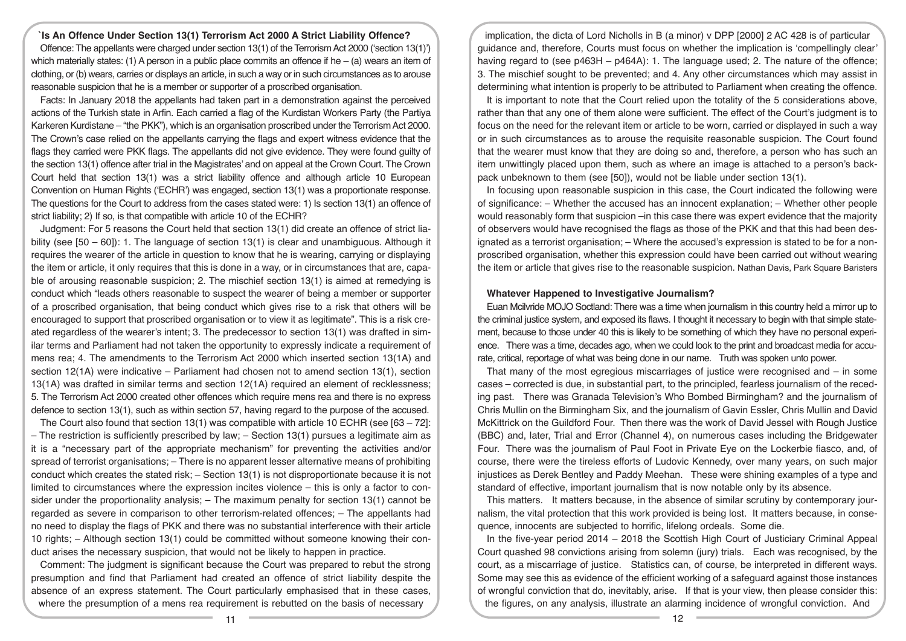**`Is An Offence Under Section 13(1) Terrorism Act 2000 A Strict Liability Offence?**  Offence: The appellants were charged under section 13(1) of the Terrorism Act 2000 ('section 13(1)') which materially states: (1) A person in a public place commits an offence if he – (a) wears an item of clothing, or (b) wears, carries or displays an article, in such a way or in such circumstances as to arouse reasonable suspicion that he is a member or supporter of a proscribed organisation.

Facts: In January 2018 the appellants had taken part in a demonstration against the perceived actions of the Turkish state in Arfin. Each carried a flag of the Kurdistan Workers Party (the Partiya Karkeren Kurdistane – "the PKK"), which is an organisation proscribed under the Terrorism Act 2000. The Crown's case relied on the appellants carrying the flags and expert witness evidence that the flags they carried were PKK flags. The appellants did not give evidence. They were found guilty of the section 13(1) offence after trial in the Magistrates' and on appeal at the Crown Court. The Crown Court held that section 13(1) was a strict liability offence and although article 10 European Convention on Human Rights ('ECHR') was engaged, section 13(1) was a proportionate response. The questions for the Court to address from the cases stated were: 1) Is section 13(1) an offence of strict liability; 2) If so, is that compatible with article 10 of the ECHR?

Judgment: For 5 reasons the Court held that section 13(1) did create an offence of strict liability (see  $[50 - 60]$ ): 1. The language of section 13(1) is clear and unambiguous. Although it requires the wearer of the article in question to know that he is wearing, carrying or displaying the item or article, it only requires that this is done in a way, or in circumstances that are, capable of arousing reasonable suspicion; 2. The mischief section 13(1) is aimed at remedying is conduct which "leads others reasonable to suspect the wearer of being a member or supporter of a proscribed organisation, that being conduct which gives rise to a risk that others will be encouraged to support that proscribed organisation or to view it as legitimate". This is a risk created regardless of the wearer's intent; 3. The predecessor to section 13(1) was drafted in similar terms and Parliament had not taken the opportunity to expressly indicate a requirement of mens rea; 4. The amendments to the Terrorism Act 2000 which inserted section 13(1A) and section 12(1A) were indicative – Parliament had chosen not to amend section 13(1), section 13(1A) was drafted in similar terms and section 12(1A) required an element of recklessness; 5. The Terrorism Act 2000 created other offences which require mens rea and there is no express defence to section 13(1), such as within section 57, having regard to the purpose of the accused.

The Court also found that section 13(1) was compatible with article 10 ECHR (see [63 – 72]: – The restriction is sufficiently prescribed by law; – Section 13(1) pursues a legitimate aim as it is a "necessary part of the appropriate mechanism" for preventing the activities and/or spread of terrorist organisations; – There is no apparent lesser alternative means of prohibiting conduct which creates the stated risk; – Section 13(1) is not disproportionate because it is not limited to circumstances where the expression incites violence – this is only a factor to consider under the proportionality analysis; – The maximum penalty for section 13(1) cannot be regarded as severe in comparison to other terrorism-related offences; – The appellants had no need to display the flags of PKK and there was no substantial interference with their article 10 rights; – Although section 13(1) could be committed without someone knowing their conduct arises the necessary suspicion, that would not be likely to happen in practice.

Comment: The judgment is significant because the Court was prepared to rebut the strong presumption and find that Parliament had created an offence of strict liability despite the absence of an express statement. The Court particularly emphasised that in these cases, where the presumption of a mens rea requirement is rebutted on the basis of necessary

implication, the dicta of Lord Nicholls in B (a minor) v DPP [2000] 2 AC 428 is of particular guidance and, therefore, Courts must focus on whether the implication is 'compellingly clear' having regard to (see p463H – p464A): 1. The language used; 2. The nature of the offence; 3. The mischief sought to be prevented; and 4. Any other circumstances which may assist in determining what intention is properly to be attributed to Parliament when creating the offence.

It is important to note that the Court relied upon the totality of the 5 considerations above, rather than that any one of them alone were sufficient. The effect of the Court's judgment is to focus on the need for the relevant item or article to be worn, carried or displayed in such a way or in such circumstances as to arouse the requisite reasonable suspicion. The Court found that the wearer must know that they are doing so and, therefore, a person who has such an item unwittingly placed upon them, such as where an image is attached to a person's backpack unbeknown to them (see [50]), would not be liable under section 13(1).

In focusing upon reasonable suspicion in this case, the Court indicated the following were of significance: – Whether the accused has an innocent explanation; – Whether other people would reasonably form that suspicion –in this case there was expert evidence that the majority of observers would have recognised the flags as those of the PKK and that this had been designated as a terrorist organisation; – Where the accused's expression is stated to be for a nonproscribed organisation, whether this expression could have been carried out without wearing the item or article that gives rise to the reasonable suspicion. Nathan Davis, Park Square Baristers

#### **Whatever Happened to Investigative Journalism?**

Euan Mcilvride MOJO Soctland: There was a time when journalism in this country held a mirror up to the criminal justice system, and exposed its flaws. I thought it necessary to begin with that simple statement, because to those under 40 this is likely to be something of which they have no personal experience. There was a time, decades ago, when we could look to the print and broadcast media for accurate, critical, reportage of what was being done in our name. Truth was spoken unto power.

That many of the most egregious miscarriages of justice were recognised and – in some cases – corrected is due, in substantial part, to the principled, fearless journalism of the receding past. There was Granada Television's Who Bombed Birmingham? and the journalism of Chris Mullin on the Birmingham Six, and the journalism of Gavin Essler, Chris Mullin and David McKittrick on the Guildford Four. Then there was the work of David Jessel with Rough Justice (BBC) and, later, Trial and Error (Channel 4), on numerous cases including the Bridgewater Four. There was the journalism of Paul Foot in Private Eye on the Lockerbie fiasco, and, of course, there were the tireless efforts of Ludovic Kennedy, over many years, on such major injustices as Derek Bentley and Paddy Meehan. These were shining examples of a type and standard of effective, important journalism that is now notable only by its absence.

This matters. It matters because, in the absence of similar scrutiny by contemporary journalism, the vital protection that this work provided is being lost. It matters because, in consequence, innocents are subjected to horrific, lifelong ordeals. Some die.

In the five-year period 2014 – 2018 the Scottish High Court of Justiciary Criminal Appeal Court quashed 98 convictions arising from solemn (jury) trials. Each was recognised, by the court, as a miscarriage of justice. Statistics can, of course, be interpreted in different ways. Some may see this as evidence of the efficient working of a safeguard against those instances of wrongful conviction that do, inevitably, arise. If that is your view, then please consider this: the figures, on any analysis, illustrate an alarming incidence of wrongful conviction. And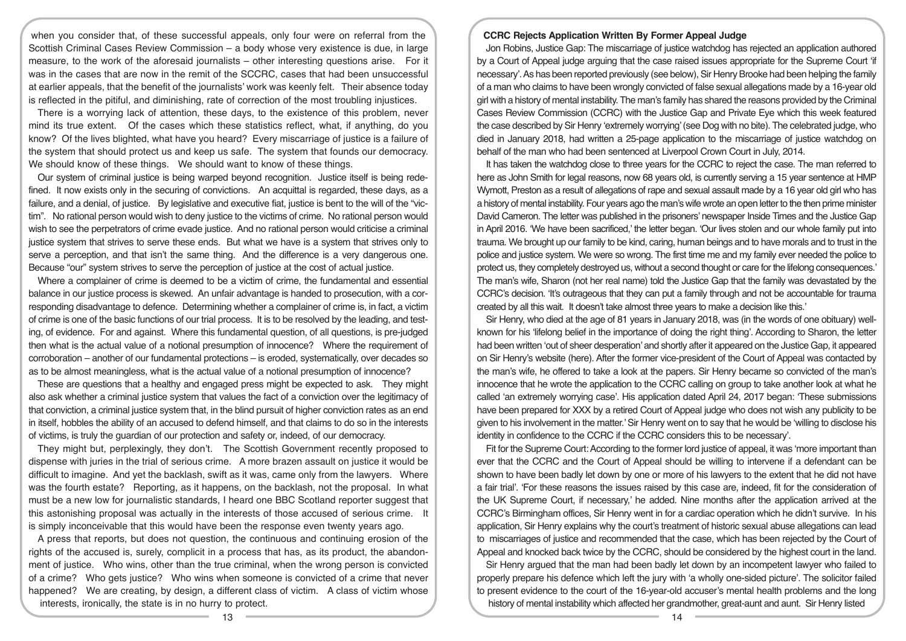when you consider that, of these successful appeals, only four were on referral from the Scottish Criminal Cases Review Commission – a body whose very existence is due, in large measure, to the work of the aforesaid journalists – other interesting questions arise. For it was in the cases that are now in the remit of the SCCRC, cases that had been unsuccessful at earlier appeals, that the benefit of the journalists' work was keenly felt. Their absence today is reflected in the pitiful, and diminishing, rate of correction of the most troubling injustices.

There is a worrying lack of attention, these days, to the existence of this problem, never mind its true extent. Of the cases which these statistics reflect, what, if anything, do you know? Of the lives blighted, what have you heard? Every miscarriage of justice is a failure of the system that should protect us and keep us safe. The system that founds our democracy. We should know of these things. We should want to know of these things.

Our system of criminal justice is being warped beyond recognition. Justice itself is being redefined. It now exists only in the securing of convictions. An acquittal is regarded, these days, as a failure, and a denial, of justice. By legislative and executive fiat, justice is bent to the will of the "victim". No rational person would wish to deny justice to the victims of crime. No rational person would wish to see the perpetrators of crime evade justice. And no rational person would criticise a criminal justice system that strives to serve these ends. But what we have is a system that strives only to serve a perception, and that isn't the same thing. And the difference is a very dangerous one. Because "our" system strives to serve the perception of justice at the cost of actual justice.

Where a complainer of crime is deemed to be a victim of crime, the fundamental and essential balance in our justice process is skewed. An unfair advantage is handed to prosecution, with a corresponding disadvantage to defence. Determining whether a complainer of crime is, in fact, a victim of crime is one of the basic functions of our trial process. It is to be resolved by the leading, and testing, of evidence. For and against. Where this fundamental question, of all questions, is pre-judged then what is the actual value of a notional presumption of innocence? Where the requirement of corroboration – another of our fundamental protections – is eroded, systematically, over decades so as to be almost meaningless, what is the actual value of a notional presumption of innocence?

These are questions that a healthy and engaged press might be expected to ask. They might also ask whether a criminal justice system that values the fact of a conviction over the legitimacy of that conviction, a criminal justice system that, in the blind pursuit of higher conviction rates as an end in itself, hobbles the ability of an accused to defend himself, and that claims to do so in the interests of victims, is truly the guardian of our protection and safety or, indeed, of our democracy.

They might but, perplexingly, they don't. The Scottish Government recently proposed to dispense with juries in the trial of serious crime. A more brazen assault on justice it would be difficult to imagine. And yet the backlash, swift as it was, came only from the lawyers. Where was the fourth estate? Reporting, as it happens, on the backlash, not the proposal. In what must be a new low for journalistic standards, I heard one BBC Scotland reporter suggest that this astonishing proposal was actually in the interests of those accused of serious crime. It is simply inconceivable that this would have been the response even twenty years ago.

A press that reports, but does not question, the continuous and continuing erosion of the rights of the accused is, surely, complicit in a process that has, as its product, the abandonment of justice. Who wins, other than the true criminal, when the wrong person is convicted of a crime? Who gets justice? Who wins when someone is convicted of a crime that never happened? We are creating, by design, a different class of victim. A class of victim whose interests, ironically, the state is in no hurry to protect.

#### **CCRC Rejects Application Written By Former Appeal Judge**

Jon Robins, Justice Gap: The miscarriage of justice watchdog has rejected an application authored by a Court of Appeal judge arguing that the case raised issues appropriate for the Supreme Court 'if necessary'. As has been reported previously (see below), Sir Henry Brooke had been helping the family of a man who claims to have been wrongly convicted of false sexual allegations made by a 16-year old girl with a history of mental instability. The man's family has shared the reasons provided by the Criminal Cases Review Commission (CCRC) with the Justice Gap and Private Eye which this week featured the case described by Sir Henry 'extremely worrying' (see Dog with no bite). The celebrated judge, who died in January 2018, had written a 25-page application to the miscarriage of justice watchdog on behalf of the man who had been sentenced at Liverpool Crown Court in July, 2014.

It has taken the watchdog close to three years for the CCRC to reject the case. The man referred to here as John Smith for legal reasons, now 68 years old, is currently serving a 15 year sentence at HMP Wymott, Preston as a result of allegations of rape and sexual assault made by a 16 year old girl who has a history of mental instability. Four years ago the man's wife wrote an open letter to the then prime minister David Cameron. The letter was published in the prisoners' newspaper Inside Times and the Justice Gap in April 2016. 'We have been sacrificed,' the letter began. 'Our lives stolen and our whole family put into trauma. We brought up our family to be kind, caring, human beings and to have morals and to trust in the police and justice system. We were so wrong. The first time me and my family ever needed the police to protect us, they completely destroyed us, without a second thought or care for the lifelong consequences.' The man's wife, Sharon (not her real name) told the Justice Gap that the family was devastated by the CCRC's decision. 'It's outrageous that they can put a family through and not be accountable for trauma created by all this wait. It doesn't take almost three years to make a decision like this.'

Sir Henry, who died at the age of 81 years in January 2018, was (in the words of one obituary) wellknown for his 'lifelong belief in the importance of doing the right thing'. According to Sharon, the letter had been written 'out of sheer desperation' and shortly after it appeared on the Justice Gap, it appeared on Sir Henry's website (here). After the former vice-president of the Court of Appeal was contacted by the man's wife, he offered to take a look at the papers. Sir Henry became so convicted of the man's innocence that he wrote the application to the CCRC calling on group to take another look at what he called 'an extremely worrying case'. His application dated April 24, 2017 began: 'These submissions have been prepared for XXX by a retired Court of Appeal judge who does not wish any publicity to be given to his involvement in the matter.' Sir Henry went on to say that he would be 'willing to disclose his identity in confidence to the CCRC if the CCRC considers this to be necessary'.

Fit for the Supreme Court: According to the former lord justice of appeal, it was 'more important than ever that the CCRC and the Court of Appeal should be willing to intervene if a defendant can be shown to have been badly let down by one or more of his lawyers to the extent that he did not have a fair trial'. 'For these reasons the issues raised by this case are, indeed, fit for the consideration of the UK Supreme Court, if necessary,' he added. Nine months after the application arrived at the CCRC's Birmingham offices, Sir Henry went in for a cardiac operation which he didn't survive. In his application, Sir Henry explains why the court's treatment of historic sexual abuse allegations can lead to miscarriages of justice and recommended that the case, which has been rejected by the Court of Appeal and knocked back twice by the CCRC, should be considered by the highest court in the land.

Sir Henry argued that the man had been badly let down by an incompetent lawyer who failed to properly prepare his defence which left the jury with 'a wholly one-sided picture'. The solicitor failed to present evidence to the court of the 16-year-old accuser's mental health problems and the long history of mental instability which affected her grandmother, great-aunt and aunt. Sir Henry listed